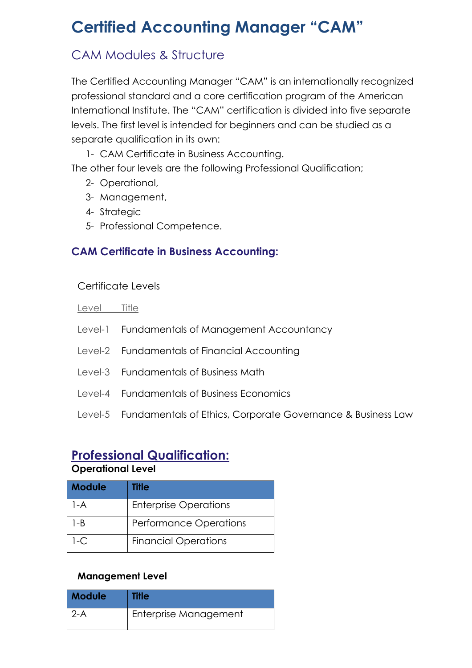# **Certified Accounting Manager "CAM"**

# CAM Modules & Structure

The Certified Accounting Manager "CAM" is an internationally recognized professional standard and a core certification program of the American International Institute. The "CAM" certification is divided into five separate levels. The first level is intended for beginners and can be studied as a separate qualification in its own:

1- CAM Certificate in Business Accounting.

The other four levels are the following Professional Qualification;

- 2- Operational,
- 3- Management,
- 4- Strategic
- 5- Professional Competence.

## **CAM Certificate in Business Accounting:**

#### Certificate Levels

Level Title

- Level-1 Fundamentals of Management Accountancy
- Level-2 Fundamentals of Financial Accounting
- Level-3 Fundamentals of Business Math
- Level-4 Fundamentals of Business Economics
- Level-5 Fundamentals of Ethics, Corporate Governance & Business Law

# **Professional Qualification:**

#### **Operational Level**

| <b>Module</b> | Title                         |
|---------------|-------------------------------|
| $1-A$         | <b>Enterprise Operations</b>  |
| $1 - B$       | <b>Performance Operations</b> |
| $1-C$         | <b>Financial Operations</b>   |

#### **Management Level**

| <b>Module</b> | <b>Title</b>          |
|---------------|-----------------------|
| $2-A$         | Enterprise Management |